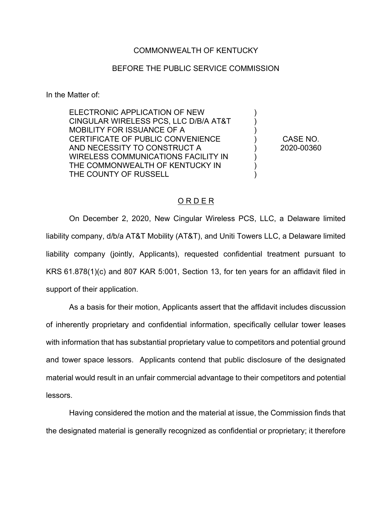## COMMONWEALTH OF KENTUCKY

## BEFORE THE PUBLIC SERVICE COMMISSION

In the Matter of:

ELECTRONIC APPLICATION OF NEW CINGULAR WIRELESS PCS, LLC D/B/A AT&T MOBILITY FOR ISSUANCE OF A CERTIFICATE OF PUBLIC CONVENIENCE AND NECESSITY TO CONSTRUCT A WIRELESS COMMUNICATIONS FACILITY IN THE COMMONWEALTH OF KENTUCKY IN THE COUNTY OF RUSSELL

CASE NO. 2020-00360

) ) ) ) ) ) ) )

## O R D E R

On December 2, 2020, New Cingular Wireless PCS, LLC, a Delaware limited liability company, d/b/a AT&T Mobility (AT&T), and Uniti Towers LLC, a Delaware limited liability company (jointly, Applicants), requested confidential treatment pursuant to KRS 61.878(1)(c) and 807 KAR 5:001, Section 13, for ten years for an affidavit filed in support of their application.

As a basis for their motion, Applicants assert that the affidavit includes discussion of inherently proprietary and confidential information, specifically cellular tower leases with information that has substantial proprietary value to competitors and potential ground and tower space lessors. Applicants contend that public disclosure of the designated material would result in an unfair commercial advantage to their competitors and potential lessors.

Having considered the motion and the material at issue, the Commission finds that the designated material is generally recognized as confidential or proprietary; it therefore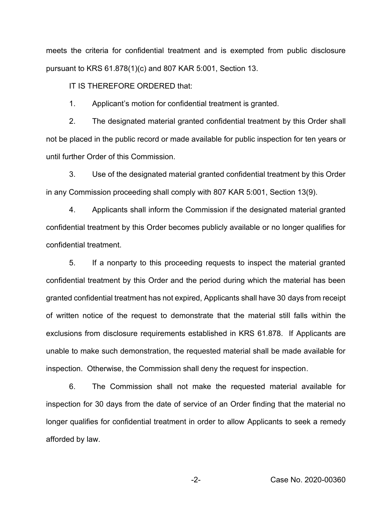meets the criteria for confidential treatment and is exempted from public disclosure pursuant to KRS 61.878(1)(c) and 807 KAR 5:001, Section 13.

IT IS THEREFORE ORDERED that:

1. Applicant's motion for confidential treatment is granted.

2. The designated material granted confidential treatment by this Order shall not be placed in the public record or made available for public inspection for ten years or until further Order of this Commission.

3. Use of the designated material granted confidential treatment by this Order in any Commission proceeding shall comply with 807 KAR 5:001, Section 13(9).

4. Applicants shall inform the Commission if the designated material granted confidential treatment by this Order becomes publicly available or no longer qualifies for confidential treatment.

5. If a nonparty to this proceeding requests to inspect the material granted confidential treatment by this Order and the period during which the material has been granted confidential treatment has not expired, Applicants shall have 30 days from receipt of written notice of the request to demonstrate that the material still falls within the exclusions from disclosure requirements established in KRS 61.878. If Applicants are unable to make such demonstration, the requested material shall be made available for inspection. Otherwise, the Commission shall deny the request for inspection.

6. The Commission shall not make the requested material available for inspection for 30 days from the date of service of an Order finding that the material no longer qualifies for confidential treatment in order to allow Applicants to seek a remedy afforded by law.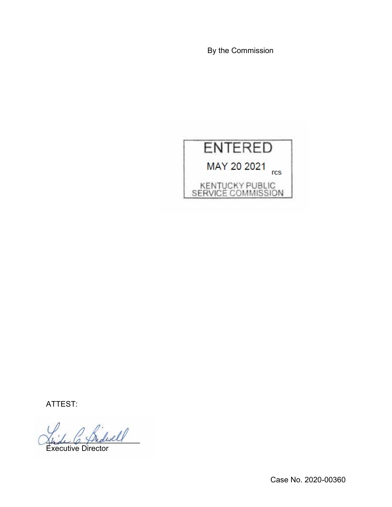By the Commission



ATTEST:

 $\omega$ 

Executive Director

Case No. 2020-00360